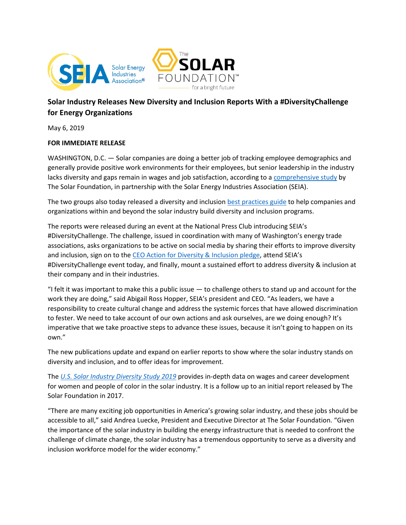



# **Solar Industry Releases New Diversity and Inclusion Reports With a #DiversityChallenge for Energy Organizations**

May 6, 2019

#### **FOR IMMEDIATE RELEASE**

WASHINGTON, D.C. — Solar companies are doing a better job of tracking employee demographics and generally provide positive work environments for their employees, but senior leadership in the industry lacks diversity and gaps remain in wages and job satisfaction, according to [a comprehensive study](http://www.thesolarfoundation.org/diversity) by The Solar Foundation, in partnership with the Solar Energy Industries Association (SEIA).

The two groups also today released a diversity and inclusion [best practices guide](http://www.seia.org/diversity) to help companies and organizations within and beyond the solar industry build diversity and inclusion programs.

The reports were released during an event at the National Press Club introducing SEIA's #DiversityChallenge. The challenge, issued in coordination with many of Washington's energy trade associations, asks organizations to be active on social media by sharing their efforts to improve diversity and inclusion, sign on to the [CEO Action for Diversity & Inclusion pledge](https://www.ceoaction.com/pledge/i-act-on-pledge/), attend SEIA's #DiversityChallenge event today, and finally, mount a sustained effort to address diversity & inclusion at their company and in their industries.

"I felt it was important to make this a public issue  $-$  to challenge others to stand up and account for the work they are doing," said Abigail Ross Hopper, SEIA's president and CEO. "As leaders, we have a responsibility to create cultural change and address the systemic forces that have allowed discrimination to fester. We need to take account of our own actions and ask ourselves, are we doing enough? It's imperative that we take proactive steps to advance these issues, because it isn't going to happen on its own."

The new publications update and expand on earlier reports to show where the solar industry stands on diversity and inclusion, and to offer ideas for improvement.

The *[U.S. Solar Industry Diversity Study 2019](https://www.thesolarfoundation.org/diversity/)* provides in-depth data on wages and career development for women and people of color in the solar industry. It is a follow up to an initial report released by The Solar Foundation in 2017.

"There are many exciting job opportunities in America's growing solar industry, and these jobs should be accessible to all," said Andrea Luecke, President and Executive Director at The Solar Foundation. "Given the importance of the solar industry in building the energy infrastructure that is needed to confront the challenge of climate change, the solar industry has a tremendous opportunity to serve as a diversity and inclusion workforce model for the wider economy."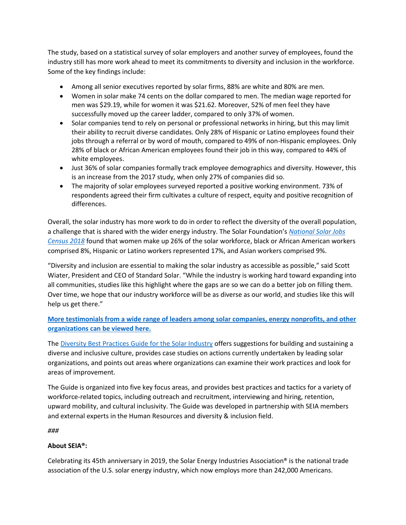The study, based on a statistical survey of solar employers and another survey of employees, found the industry still has more work ahead to meet its commitments to diversity and inclusion in the workforce. Some of the key findings include:

- Among all senior executives reported by solar firms, 88% are white and 80% are men.
- Women in solar make 74 cents on the dollar compared to men. The median wage reported for men was \$29.19, while for women it was \$21.62. Moreover, 52% of men feel they have successfully moved up the career ladder, compared to only 37% of women.
- Solar companies tend to rely on personal or professional networks in hiring, but this may limit their ability to recruit diverse candidates. Only 28% of Hispanic or Latino employees found their jobs through a referral or by word of mouth, compared to 49% of non-Hispanic employees. Only 28% of black or African American employees found their job in this way, compared to 44% of white employees.
- Just 36% of solar companies formally track employee demographics and diversity. However, this is an increase from the 2017 study, when only 27% of companies did so.
- The majority of solar employees surveyed reported a positive working environment. 73% of respondents agreed their firm cultivates a culture of respect, equity and positive recognition of differences.

Overall, the solar industry has more work to do in order to reflect the diversity of the overall population, a challenge that is shared with the wider energy industry. The Solar Foundation's *[National Solar Jobs](https://www.thesolarfoundation.org/national/)  [Census 2018](https://www.thesolarfoundation.org/national/)* found that women make up 26% of the solar workforce, black or African American workers comprised 8%, Hispanic or Latino workers represented 17%, and Asian workers comprised 9%.

"Diversity and inclusion are essential to making the solar industry as accessible as possible," said Scott Wiater, President and CEO of Standard Solar. "While the industry is working hard toward expanding into all communities, studies like this highlight where the gaps are so we can do a better job on filling them. Over time, we hope that our industry workforce will be as diverse as our world, and studies like this will help us get there."

**[More testimonials from a wide range of leaders among solar companies, energy nonprofits, and other](https://www.thesolarfoundation.org/diversity/testimonials/)  [organizations can be viewed here.](https://www.thesolarfoundation.org/diversity/testimonials/)**

The [Diversity Best Practices Guide for the Solar Industry](https://www.seia.org/diversity) offers suggestions for building and sustaining a diverse and inclusive culture, provides case studies on actions currently undertaken by leading solar organizations, and points out areas where organizations can examine their work practices and look for areas of improvement.

The Guide is organized into five key focus areas, and provides best practices and tactics for a variety of workforce-related topics, including outreach and recruitment, interviewing and hiring, retention, upward mobility, and cultural inclusivity. The Guide was developed in partnership with SEIA members and external experts in the Human Resources and diversity & inclusion field.

*###*

## **About SEIA®:**

Celebrating its 45th anniversary in 2019, the Solar Energy Industries Association® is the national trade association of the U.S. solar energy industry, which now employs more than 242,000 Americans.